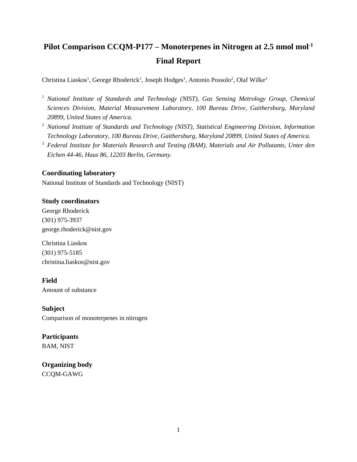# **Pilot Comparison CCQM-P177 – Monoterpenes in Nitrogen at 2.5 nmol mol-1 Final Report**

Christina Liaskos<sup>1</sup>, George Rhoderick<sup>1</sup>, Joseph Hodges<sup>1</sup>, Antonio Possolo<sup>2</sup>, Olaf Wilke<sup>3</sup>

- *<sup>1</sup> National Institute of Standards and Technology (NIST), Gas Sensing Metrology Group, Chemical Sciences Division, Material Measurement Laboratory, 100 Bureau Drive, Gaithersburg, Maryland 20899, United States of America.*
- *<sup>2</sup> National Institute of Standards and Technology (NIST), Statistical Engineering Division, Information Technology Laboratory, 100 Bureau Drive, Gaithersburg, Maryland 20899, United States of America.*
- *<sup>3</sup> Federal Institute for Materials Research and Testing (BAM), Materials and Air Pollutants, Unter den Eichen 44-46, Haus 86, 12203 Berlin, Germany.*

### **Coordinating laboratory**

National Institute of Standards and Technology (NIST)

### **Study coordinators**

George Rhoderick (301) 975-3937 george.rhoderick@nist.gov

Christina Liaskos (301) 975-5185 christina.liaskos@nist.gov

**Field** Amount of substance

**Subject** Comparison of monoterpenes in nitrogen

# **Participants** BAM, NIST

**Organizing body** CCQM-GAWG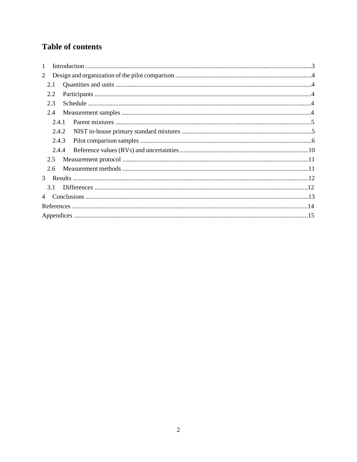# **Table of contents**

| $\mathbf{1}$ |
|--------------|
| 2            |
| 2.1          |
| 2.2          |
| 2.3          |
| 2.4          |
| 2.4.1        |
| 2.4.2        |
| 2.4.3        |
| 2.4.4        |
| 2.5          |
| 2.6          |
|              |
| 31           |
| 4            |
|              |
|              |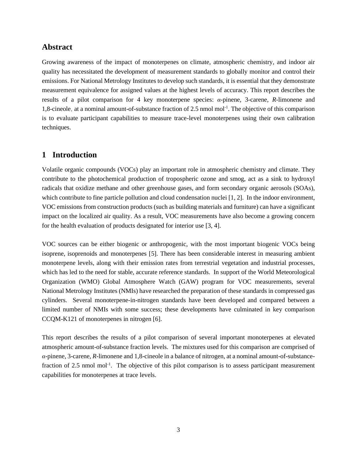# **Abstract**

Growing awareness of the impact of monoterpenes on climate, atmospheric chemistry, and indoor air quality has necessitated the development of measurement standards to globally monitor and control their emissions. For National Metrology Institutes to develop such standards, it is essential that they demonstrate measurement equivalence for assigned values at the highest levels of accuracy. This report describes the results of a pilot comparison for 4 key monoterpene species: *α*-pinene, 3-carene, *R-*limonene and 1,8-cineole, at a nominal amount-of-substance fraction of 2.5 nmol mol-1 . The objective of this comparison is to evaluate participant capabilities to measure trace-level monoterpenes using their own calibration techniques.

# **1 Introduction**

Volatile organic compounds (VOCs) play an important role in atmospheric chemistry and climate. They contribute to the photochemical production of tropospheric ozone and smog, act as a sink to hydroxyl radicals that oxidize methane and other greenhouse gases, and form secondary organic aerosols (SOAs), which contribute to fine particle pollution and cloud condensation nuclei [1, 2]. In the indoor environment, VOC emissions from construction products (such as building materials and furniture) can have a significant impact on the localized air quality. As a result, VOC measurements have also become a growing concern for the health evaluation of products designated for interior use [3, 4].

VOC sources can be either biogenic or anthropogenic, with the most important biogenic VOCs being isoprene, isoprenoids and monoterpenes [5]. There has been considerable interest in measuring ambient monoterpene levels, along with their emission rates from terrestrial vegetation and industrial processes, which has led to the need for stable, accurate reference standards. In support of the World Meteorological Organization (WMO) Global Atmosphere Watch (GAW) program for VOC measurements, several National Metrology Institutes (NMIs) have researched the preparation of these standards in compressed gas cylinders. Several monoterpene-in-nitrogen standards have been developed and compared between a limited number of NMIs with some success; these developments have culminated in key comparison CCQM-K121 of monoterpenes in nitrogen [6].

This report describes the results of a pilot comparison of several important monoterpenes at elevated atmospheric amount-of-substance fraction levels. The mixtures used for this comparison are comprised of *α*-pinene, 3-carene, *R*-limonene and 1,8-cineole in a balance of nitrogen, at a nominal amount-of-substancefraction of 2.5 nmol mol<sup>-1</sup>. The objective of this pilot comparison is to assess participant measurement capabilities for monoterpenes at trace levels.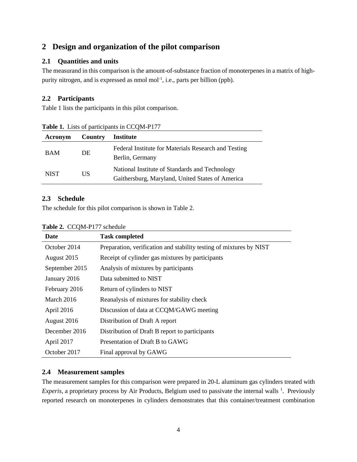# **2 Design and organization of the pilot comparison**

# **2.1 Quantities and units**

The measurand in this comparison is the amount-of-substance fraction of monoterpenes in a matrix of highpurity nitrogen, and is expressed as nmol mol<sup>-1</sup>, i.e., parts per billion (ppb).

# **2.2 Participants**

Table 1 lists the participants in this pilot comparison.

| Acronym     | Country | Institute                                                                                          |
|-------------|---------|----------------------------------------------------------------------------------------------------|
| <b>BAM</b>  | DE.     | Federal Institute for Materials Research and Testing<br>Berlin, Germany                            |
| <b>NIST</b> | US      | National Institute of Standards and Technology<br>Gaithersburg, Maryland, United States of America |

**Table 1.** Lists of participants in CCQM-P177

## **2.3 Schedule**

The schedule for this pilot comparison is shown in Table 2.

| <b>Table 2.</b> CCQM-PT // scriedule |                                                                     |
|--------------------------------------|---------------------------------------------------------------------|
| Date                                 | <b>Task completed</b>                                               |
| October 2014                         | Preparation, verification and stability testing of mixtures by NIST |
| August 2015                          | Receipt of cylinder gas mixtures by participants                    |
| September 2015                       | Analysis of mixtures by participants                                |
| January 2016                         | Data submitted to NIST                                              |
| February 2016                        | Return of cylinders to NIST                                         |
| March 2016                           | Reanalysis of mixtures for stability check                          |
| April 2016                           | Discussion of data at CCQM/GAWG meeting                             |
| August 2016                          | Distribution of Draft A report                                      |
| December 2016                        | Distribution of Draft B report to participants                      |
| April 2017                           | Presentation of Draft B to GAWG                                     |
| October 2017                         | Final approval by GAWG                                              |

### **Table 2.** CCQM-P177 schedule

## **2.4 Measurement samples**

The measurement samples for this comparison were prepared in 20-L aluminum gas cylinders treated with *Experis*, a proprietary process by Air Products, Belgium used to passivate the internal walls <sup>1</sup>. Previously reported research on monoterpenes in cylinders demonstrates that this container/treatment combination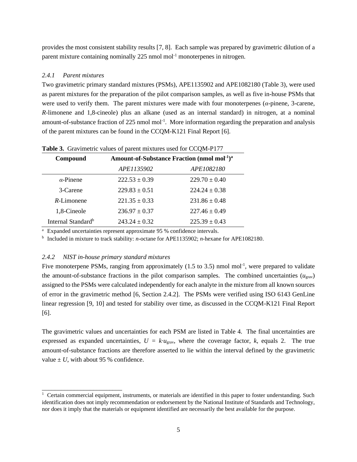provides the most consistent stability results [7, 8]. Each sample was prepared by gravimetric dilution of a parent mixture containing nominally  $225$  nmol mol<sup>-1</sup> monoterpenes in nitrogen.

#### *2.4.1 Parent mixtures*

Two gravimetric primary standard mixtures (PSMs), APE1135902 and APE1082180 (Table 3), were used as parent mixtures for the preparation of the pilot comparison samples, as well as five in-house PSMs that were used to verify them. The parent mixtures were made with four monoterpenes (*α*-pinene, 3-carene, *R*-limonene and 1,8-cineole) plus an alkane (used as an internal standard) in nitrogen, at a nominal amount-of-substance fraction of  $225$  nmol mol<sup>-1</sup>. More information regarding the preparation and analysis of the parent mixtures can be found in the CCQM-K121 Final Report [6].

| <b>Table 3.</b> Gravimetric values of parent mixtures used for CCQM-PT77        |                   |                   |  |  |  |
|---------------------------------------------------------------------------------|-------------------|-------------------|--|--|--|
| Amount-of-Substance Fraction (nmol mol <sup>-1</sup> ) <sup>a</sup><br>Compound |                   |                   |  |  |  |
|                                                                                 | APE1135902        | APE1082180        |  |  |  |
| $\alpha$ -Pinene                                                                | $222.53 \pm 0.39$ | $229.70 \pm 0.40$ |  |  |  |
| 3-Carene                                                                        | $229.83 \pm 0.51$ | $224.24 \pm 0.38$ |  |  |  |
| $R$ -Limonene                                                                   | $221.35 \pm 0.33$ | $231.86 \pm 0.48$ |  |  |  |
| 1,8-Cineole                                                                     | $236.97 \pm 0.37$ | $227.46 \pm 0.49$ |  |  |  |
| Internal Standard <sup>b</sup>                                                  | $243.24 \pm 0.32$ | $225.39 \pm 0.43$ |  |  |  |

**Table 3.** Gravimetric values of parent mixtures used for CCQM-P177

<sup>a</sup> Expanded uncertainties represent approximate 95 % confidence intervals.

b Included in mixture to track stability: *n-*octane for APE1135902; *n-*hexane for APE1082180.

#### *2.4.2 NIST in-house primary standard mixtures*

\_\_\_\_\_\_\_\_\_\_\_\_\_\_\_\_\_\_\_\_\_\_\_\_\_

Five monoterpene PSMs, ranging from approximately  $(1.5 \text{ to } 3.5)$  nmol mol<sup>-1</sup>, were prepared to validate the amount-of-substance fractions in the pilot comparison samples. The combined uncertainties  $(u_{\text{grav}})$ assigned to the PSMs were calculated independently for each analyte in the mixture from all known sources of error in the gravimetric method [6, Section 2.4.2]. The PSMs were verified using ISO 6143 GenLine linear regression [9, 10] and tested for stability over time, as discussed in the CCQM-K121 Final Report [6].

The gravimetric values and uncertainties for each PSM are listed in Table 4. The final uncertainties are expressed as expanded uncertainties,  $U = k \cdot u_{\text{grav}}$ , where the coverage factor, *k*, equals 2. The true amount-of-substance fractions are therefore asserted to lie within the interval defined by the gravimetric value  $\pm U$ , with about 95 % confidence.

<sup>&</sup>lt;sup>1</sup> Certain commercial equipment, instruments, or materials are identified in this paper to foster understanding. Such identification does not imply recommendation or endorsement by the National Institute of Standards and Technology, nor does it imply that the materials or equipment identified are necessarily the best available for the purpose.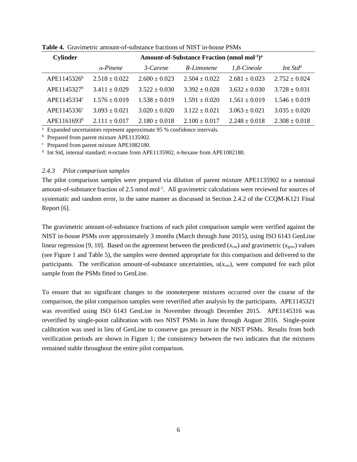| <b>Cylinder</b>         | Amount-of-Substance Fraction (nmol mol <sup>-1</sup> ) <sup>a</sup> |                   |                   |                   |                      |  |  |  |
|-------------------------|---------------------------------------------------------------------|-------------------|-------------------|-------------------|----------------------|--|--|--|
|                         | $\alpha$ -Pinene                                                    | 3-Carene          | R-Limonene        | 1,8-Cineole       | Int Std <sup>d</sup> |  |  |  |
| APE1145326 <sup>b</sup> | $2.518 + 0.022$                                                     | $2.600 \pm 0.023$ | $2.504 + 0.022$   | $2.681 + 0.023$   | $2.752 \pm 0.024$    |  |  |  |
| APE1145327 <sup>b</sup> | $3.411 + 0.029$                                                     | $3.522 \pm 0.030$ | $3.392 + 0.028$   | $3.632 \pm 0.030$ | $3.728 \pm 0.031$    |  |  |  |
| APE1145334 <sup>c</sup> | $1.576 \pm 0.019$                                                   | $1.538 \pm 0.019$ | $1.591 \pm 0.020$ | $1.561 + 0.019$   | $1.546 \pm 0.019$    |  |  |  |
| APE1145336 <sup>c</sup> | $3.093 \pm 0.021$                                                   | $3.020 \pm 0.020$ | $3.122 \pm 0.021$ | $3.063 \pm 0.021$ | $3.035 \pm 0.020$    |  |  |  |
| APE1161693 <sup>b</sup> | $2.111 \pm 0.017$                                                   | $2.180 \pm 0.018$ | $2.100 \pm 0.017$ | $2.248 \pm 0.018$ | $2.308 \pm 0.018$    |  |  |  |

**Table 4.** Gravimetric amount-of-substance fractions of NIST in-house PSMs

<sup>a</sup> Expanded uncertainties represent approximate 95 % confidence intervals.

**b** Prepared from parent mixture APE1135902.

<sup>c</sup> Prepared from parent mixture APE1082180.

d Int Std, internal standard; *n-*octane from APE1135902, *n-*hexane from APE1082180.

#### *2.4.3 Pilot comparison samples*

The pilot comparison samples were prepared via dilution of parent mixture APE1135902 to a nominal amount-of-substance fraction of 2.5 nmol mol<sup>-1</sup>. All gravimetric calculations were reviewed for sources of systematic and random error, in the same manner as discussed in Section 2.4.2 of the CCQM-K121 Final Report [6].

The gravimetric amount-of-substance fractions of each pilot comparison sample were verified against the NIST in-house PSMs over approximately 3 months (March through June 2015), using ISO 6143 GenLine linear regression [9, 10]. Based on the agreement between the predicted  $(x_{\text{ver}})$  and gravimetric  $(x_{\text{grav}})$  values (see Figure 1 and Table 5), the samples were deemed appropriate for this comparison and delivered to the participants. The verification amount-of-substance uncertainties,  $u(x<sub>ver</sub>)$ , were computed for each pilot sample from the PSMs fitted to GenLine.

To ensure that no significant changes to the monoterpene mixtures occurred over the course of the comparison, the pilot comparison samples were reverified after analysis by the participants. APE1145321 was reverified using ISO 6143 GenLine in November through December 2015. APE1145316 was reverified by single-point calibration with two NIST PSMs in June through August 2016. Single-point calibration was used in lieu of GenLine to conserve gas pressure in the NIST PSMs. Results from both verification periods are shown in Figure 1; the consistency between the two indicates that the mixtures remained stable throughout the entire pilot comparison.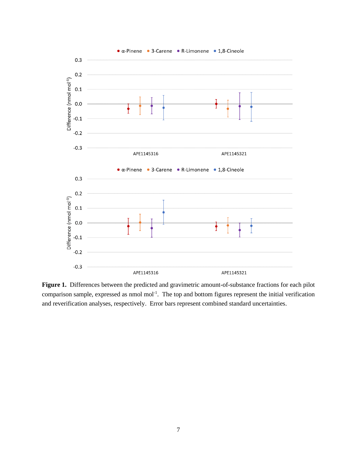

Figure 1. Differences between the predicted and gravimetric amount-of-substance fractions for each pilot comparison sample, expressed as nmol mol<sup>-1</sup>. The top and bottom figures represent the initial verification and reverification analyses, respectively. Error bars represent combined standard uncertainties.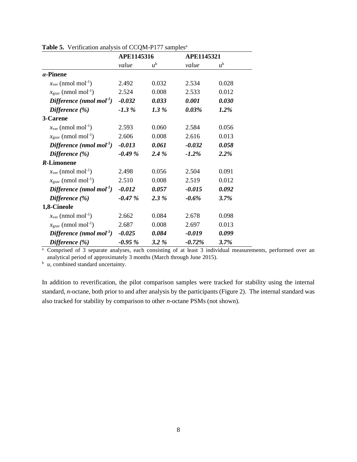|                                             | APE1145316 |             | <b>APE1145321</b> |             |
|---------------------------------------------|------------|-------------|-------------------|-------------|
|                                             | value      | $u^{\rm b}$ | value             | $u^{\rm b}$ |
| $\alpha$ -Pinene                            |            |             |                   |             |
| $x_{\text{ver}}$ (nmol mol <sup>-1</sup> )  | 2.492      | 0.032       | 2.534             | 0.028       |
| $x_{\text{grav}}$ (nmol mol <sup>-1</sup> ) | 2.524      | 0.008       | 2.533             | 0.012       |
| Difference (nmol mol <sup>-1</sup> )        | $-0.032$   | 0.033       | 0.001             | 0.030       |
| Difference (%)                              | $-1.3\%$   | 1.3 %       | 0.03%             | 1.2%        |
| 3-Carene                                    |            |             |                   |             |
| $x_{\text{ver}}$ (nmol mol <sup>-1</sup> )  | 2.593      | 0.060       | 2.584             | 0.056       |
| $x_{\text{grav}}$ (nmol mol <sup>-1</sup> ) | 2.606      | 0.008       | 2.616             | 0.013       |
| Difference (nmol mol <sup>-1</sup> )        | $-0.013$   | 0.061       | $-0.032$          | 0.058       |
| Difference $(\% )$                          | $-0.49%$   | 2.4%        | $-1.2\%$          | 2.2%        |
| <b>R-Limonene</b>                           |            |             |                   |             |
| $x_{\text{ver}}$ (nmol mol <sup>-1</sup> )  | 2.498      | 0.056       | 2.504             | 0.091       |
| $x_{\text{grav}}$ (nmol mol <sup>-1</sup> ) | 2.510      | 0.008       | 2.519             | 0.012       |
| Difference (nmol mol <sup>-1</sup> )        | $-0.012$   | 0.057       | $-0.015$          | 0.092       |
| Difference $(\% )$                          | $-0.47%$   | 2.3%        | $-0.6\%$          | 3.7%        |
| 1,8-Cineole                                 |            |             |                   |             |
| $x_{\text{ver}}$ (nmol mol <sup>-1</sup> )  | 2.662      | 0.084       | 2.678             | 0.098       |
| $x_{\text{grav}}$ (nmol mol <sup>-1</sup> ) | 2.687      | 0.008       | 2.697             | 0.013       |
| Difference (nmol mol <sup>-1</sup> )        | $-0.025$   | 0.084       | $-0.019$          | 0.099       |
| Difference $(\% )$                          | $-0.95\%$  | $3.2\%$     | $-0.72\%$         | 3.7%        |

Table 5. Verification analysis of CCQM-P177 samples<sup>a</sup>

<sup>a</sup> Comprised of 3 separate analyses, each consisting of at least 3 individual measurements, performed over an analytical period of approximately 3 months (March through June 2015).

 $\overrightarrow{u}$ , combined standard uncertainty.

In addition to reverification, the pilot comparison samples were tracked for stability using the internal standard, *n*-octane, both prior to and after analysis by the participants (Figure 2). The internal standard was also tracked for stability by comparison to other *n*-octane PSMs (not shown).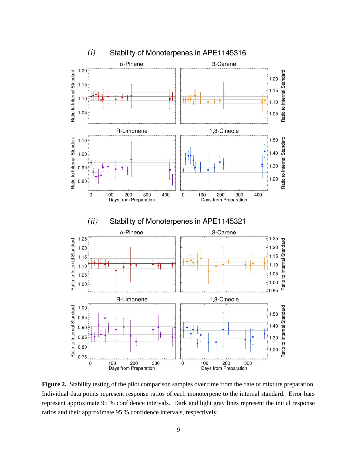

**Figure 2.** Stability testing of the pilot comparison samples over time from the date of mixture preparation. Individual data points represent response ratios of each monoterpene to the internal standard. Error bars represent approximate 95 % confidence intervals. Dark and light gray lines represent the initial response ratios and their approximate 95 % confidence intervals, respectively.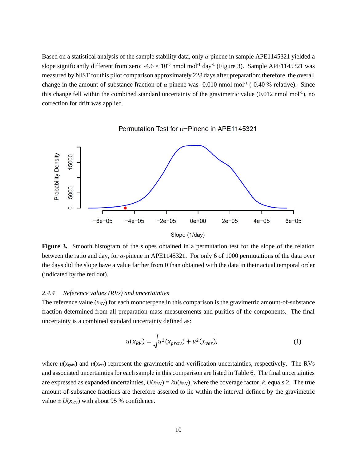Based on a statistical analysis of the sample stability data, only *α*-pinene in sample APE1145321 yielded a slope significantly different from zero:  $-4.6 \times 10^{-5}$  nmol mol<sup>-1</sup> day<sup>-1</sup> (Figure 3). Sample APE1145321 was measured by NIST for this pilot comparison approximately 228 days after preparation; therefore, the overall change in the amount-of-substance fraction of  $\alpha$ -pinene was -0.010 nmol mol<sup>-1</sup> (-0.40 % relative). Since this change fell within the combined standard uncertainty of the gravimetric value  $(0.012 \text{ nmol mol}^{-1})$ , no correction for drift was applied.





**Figure 3.** Smooth histogram of the slopes obtained in a permutation test for the slope of the relation between the ratio and day, for *α*-pinene in APE1145321. For only 6 of 1000 permutations of the data over the days did the slope have a value farther from 0 than obtained with the data in their actual temporal order (indicated by the red dot).

#### *2.4.4 Reference values (RVs) and uncertainties*

The reference value  $(x_{RV})$  for each monoterpene in this comparison is the gravimetric amount-of-substance fraction determined from all preparation mass measurements and purities of the components. The final uncertainty is a combined standard uncertainty defined as:

$$
u(x_{RV}) = \sqrt{u^2(x_{grav}) + u^2(x_{ver})},
$$
 (1)

where  $u(x<sub>grav</sub>)$  and  $u(x<sub>ver</sub>)$  represent the gravimetric and verification uncertainties, respectively. The RVs and associated uncertainties for each sample in this comparison are listed in Table 6. The final uncertainties are expressed as expanded uncertainties,  $U(x_{RV}) = ku(x_{RV})$ , where the coverage factor, *k*, equals 2. The true amount-of-substance fractions are therefore asserted to lie within the interval defined by the gravimetric value  $\pm U(x_{\text{RV}})$  with about 95 % confidence.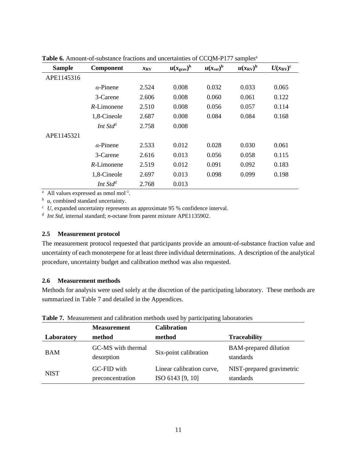| <b>Sample</b> | Component            | $x_{\rm RV}$ | $u(x_{\text{grav}})^b$ | $u(x_{ver})^b$ | $u(x_{\text{RV}})^{\text{b}}$ | $U(x_{\rm RV})^{\rm c}$ |
|---------------|----------------------|--------------|------------------------|----------------|-------------------------------|-------------------------|
| APE1145316    |                      |              |                        |                |                               |                         |
|               | $\alpha$ -Pinene     | 2.524        | 0.008                  | 0.032          | 0.033                         | 0.065                   |
|               | 3-Carene             | 2.606        | 0.008                  | 0.060          | 0.061                         | 0.122                   |
|               | $R$ -Limonene        | 2.510        | 0.008                  | 0.056          | 0.057                         | 0.114                   |
|               | 1,8-Cineole          | 2.687        | 0.008                  | 0.084          | 0.084                         | 0.168                   |
|               | Int Std <sup>d</sup> | 2.758        | 0.008                  |                |                               |                         |
| APE1145321    |                      |              |                        |                |                               |                         |
|               | $\alpha$ -Pinene     | 2.533        | 0.012                  | 0.028          | 0.030                         | 0.061                   |
|               | 3-Carene             | 2.616        | 0.013                  | 0.056          | 0.058                         | 0.115                   |
|               | $R$ -Limonene        | 2.519        | 0.012                  | 0.091          | 0.092                         | 0.183                   |
|               | 1,8-Cineole          | 2.697        | 0.013                  | 0.098          | 0.099                         | 0.198                   |
|               | Int Std <sup>d</sup> | 2.768        | 0.013                  |                |                               |                         |

Table 6. Amount-of-substance fractions and uncertainties of CCQM-P177 samples<sup>a</sup>

<sup>a</sup> All values expressed as nmol mol<sup>-1</sup>.

 $\phi$  *u*, combined standard uncertainty.

 $\cdot$  *U*, expanded uncertainty represents an approximate 95 % confidence interval.

<sup>d</sup> Int Std, internal standard; *n*-octane from parent mixture APE1135902.

#### **2.5 Measurement protocol**

The measurement protocol requested that participants provide an amount-of-substance fraction value and uncertainty of each monoterpene for at least three individual determinations. A description of the analytical procedure, uncertainty budget and calibration method was also requested.

### **2.6 Measurement methods**

Methods for analysis were used solely at the discretion of the participating laboratory. These methods are summarized in Table 7 and detailed in the Appendices.

|             | <b>Measurement</b>               | <b>Calibration</b>                            |                                           |
|-------------|----------------------------------|-----------------------------------------------|-------------------------------------------|
| Laboratory  | method                           | method                                        | <b>Traceability</b>                       |
| <b>BAM</b>  | GC-MS with thermal<br>desorption | Six-point calibration                         | <b>BAM-prepared dilution</b><br>standards |
| <b>NIST</b> | GC-FID with<br>preconcentration  | Linear calibration curve,<br>ISO 6143 [9, 10] | NIST-prepared gravimetric<br>standards    |

**Table 7.** Measurement and calibration methods used by participating laboratories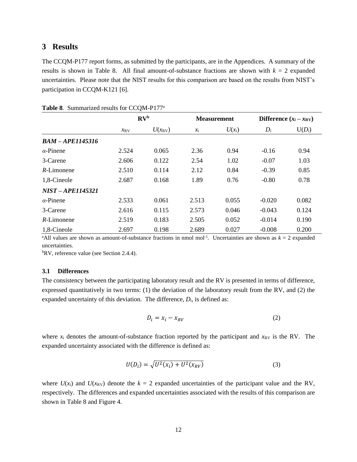# **3 Results**

The CCQM-P177 report forms, as submitted by the participants, are in the Appendices. A summary of the results is shown in Table 8. All final amount-of-substance fractions are shown with  $k = 2$  expanded uncertainties. Please note that the NIST results for this comparison are based on the results from NIST's participation in CCQM-K121 [6].

|                    | $\mathbf{R} \mathbf{V}^{\mathbf{b}}$ |                 |                     | <b>Measurement</b> |          | Difference $(x_i - x_{\text{RV}})$ |
|--------------------|--------------------------------------|-----------------|---------------------|--------------------|----------|------------------------------------|
|                    | $\chi_{\rm RV}$                      | $U(x_{\rm RV})$ | $\chi$ <sub>i</sub> | $U(x_i)$           | $D_i$    | $U(D_i)$                           |
| $BAM - APE1145316$ |                                      |                 |                     |                    |          |                                    |
| $\alpha$ -Pinene   | 2.524                                | 0.065           | 2.36                | 0.94               | $-0.16$  | 0.94                               |
| 3-Carene           | 2.606                                | 0.122           | 2.54                | 1.02               | $-0.07$  | 1.03                               |
| $R$ -Limonene      | 2.510                                | 0.114           | 2.12                | 0.84               | $-0.39$  | 0.85                               |
| 1,8-Cineole        | 2.687                                | 0.168           | 1.89                | 0.76               | $-0.80$  | 0.78                               |
| NIST-APE1145321    |                                      |                 |                     |                    |          |                                    |
| $\alpha$ -Pinene   | 2.533                                | 0.061           | 2.513               | 0.055              | $-0.020$ | 0.082                              |
| 3-Carene           | 2.616                                | 0.115           | 2.573               | 0.046              | $-0.043$ | 0.124                              |
| $R$ -Limonene      | 2.519                                | 0.183           | 2.505               | 0.052              | $-0.014$ | 0.190                              |
| 1,8-Cineole        | 2.697                                | 0.198           | 2.689               | 0.027              | $-0.008$ | 0.200                              |

|  | Table 8. Summarized results for CCQM-P177 <sup>a</sup> |  |  |  |
|--|--------------------------------------------------------|--|--|--|
|--|--------------------------------------------------------|--|--|--|

<sup>a</sup>All values are shown as amount-of-substance fractions in nmol mol<sup>-1</sup>. Uncertainties are shown as  $k = 2$  expanded uncertainties.

<sup>b</sup>RV, reference value (see Section 2.4.4).

#### **3.1 Differences**

The consistency between the participating laboratory result and the RV is presented in terms of difference, expressed quantitatively in two terms: (1) the deviation of the laboratory result from the RV, and (2) the expanded uncertainty of this deviation. The difference,  $D_i$ , is defined as:

$$
D_i = x_i - x_{RV} \tag{2}
$$

where  $x_i$  denotes the amount-of-substance fraction reported by the participant and  $x_{\text{RV}}$  is the RV. The expanded uncertainty associated with the difference is defined as:

$$
U(D_i) = \sqrt{U^2(x_i) + U^2(x_{RV})}
$$
 (3)

where  $U(x_i)$  and  $U(x_{\text{RV}})$  denote the  $k = 2$  expanded uncertainties of the participant value and the RV, respectively. The differences and expanded uncertainties associated with the results of this comparison are shown in Table 8 and Figure 4.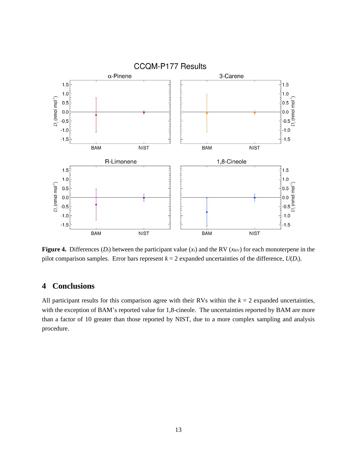

**Figure 4.** Differences  $(D_i)$  between the participant value  $(x_i)$  and the RV  $(x_{RV})$  for each monoterpene in the pilot comparison samples. Error bars represent  $k = 2$  expanded uncertainties of the difference,  $U(D_i)$ .

# **4 Conclusions**

All participant results for this comparison agree with their RVs within the  $k = 2$  expanded uncertainties, with the exception of BAM's reported value for 1,8-cineole. The uncertainties reported by BAM are more than a factor of 10 greater than those reported by NIST, due to a more complex sampling and analysis procedure.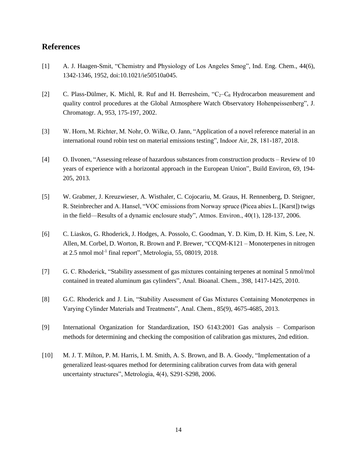# **References**

- [1] A. J. Haagen-Smit, "Chemistry and Physiology of Los Angeles Smog", Ind. Eng. Chem., 44(6), 1342-1346, 1952, doi:10.1021/ie50510a045.
- [2] C. Plass-Dülmer, K. Michl, R. Ruf and H. Berresheim,  $C_2-C_8$  Hydrocarbon measurement and quality control procedures at the Global Atmosphere Watch Observatory Hohenpeissenberg", J. Chromatogr. A, 953, 175-197, 2002.
- [3] W. Horn, M. Richter, M. Nohr, O. Wilke, O. Jann, "Application of a novel reference material in an international round robin test on material emissions testing", Indoor Air, 28, 181-187, 2018.
- [4] O. Ilvonen, "Assessing release of hazardous substances from construction products Review of 10 years of experience with a horizontal approach in the European Union", Build Environ, 69, 194- 205, 2013.
- [5] W. Grabmer, J. Kreuzwieser, A. Wisthaler, C. Cojocariu, M. Graus, H. Rennenberg, D. Steigner, R. Steinbrecher and A. Hansel, "VOC emissions from Norway spruce (Picea abies L. [Karst]) twigs in the field—Results of a dynamic enclosure study", Atmos. Environ., 40(1), 128-137, 2006.
- [6] C. Liaskos, G. Rhoderick, J. Hodges, A. Possolo, C. Goodman, Y. D. Kim, D. H. Kim, S. Lee, N. Allen, M. Corbel, D. Worton, R. Brown and P. Brewer, "CCQM-K121 – Monoterpenes in nitrogen at 2.5 nmol mol<sup>-1</sup> final report", Metrologia, 55, 08019, 2018.
- [7] G. C. Rhoderick, "Stability assessment of gas mixtures containing terpenes at nominal 5 nmol/mol contained in treated aluminum gas cylinders", Anal. Bioanal. Chem., 398, 1417-1425, 2010.
- [8] G.C. Rhoderick and J. Lin, "Stability Assessment of Gas Mixtures Containing Monoterpenes in Varying Cylinder Materials and Treatments", Anal. Chem., 85(9), 4675-4685, 2013.
- [9] International Organization for Standardization, ISO 6143:2001 Gas analysis Comparison methods for determining and checking the composition of calibration gas mixtures, 2nd edition.
- [10] M. J. T. Milton, P. M. Harris, I. M. Smith, A. S. Brown, and B. A. Goody, "Implementation of a generalized least-squares method for determining calibration curves from data with general uncertainty structures", Metrologia, 4(4), S291-S298, 2006.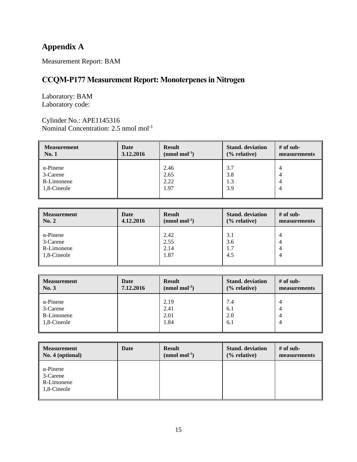# **Appendix A**

Measurement Report: BAM

# **CCQM-P177 Measurement Report: Monoterpenes in Nitrogen**

Laboratory: BAM Laboratory code:

Cylinder No.: APE1145316 Nominal Concentration: 2.5 nmol mol<sup>-1</sup>

| <b>Measurement</b> | Date      | <b>Result</b>             | <b>Stand.</b> deviation | $#$ of sub-  |
|--------------------|-----------|---------------------------|-------------------------|--------------|
| <b>No. 1</b>       | 3.12.2016 | $(nmol \text{ mol}^{-1})$ | $%$ relative)           | measurements |
| $\alpha$ -Pinene   |           | 2.46                      | 3.7                     | 4            |
| 3-Carene           |           | 2.65                      | 3.8                     | 4            |
| R-Limonene         |           | 2.22                      | 1.3                     | 4            |
| 1,8-Cineole        |           | 1.97                      | 3.9                     | 4            |

| <b>Measurement</b> | Date      | <b>Result</b>  | <b>Stand.</b> deviation | $#$ of sub-  |
|--------------------|-----------|----------------|-------------------------|--------------|
| No. 2              | 4.12.2016 | $(nmol mol-1)$ | $%$ relative)           | measurements |
| $\alpha$ -Pinene   |           | 2.42           | 3.1                     | 4            |
| 3-Carene           |           | 2.55           | 3.6                     | 4            |
| R-Limonene         |           | 2.14           | 1.7                     | 4            |
| 1,8-Cineole        |           | 1.87           | 4.5                     | 4            |

| <b>Measurement</b>                                        | Date      | <b>Result</b>                | <b>Stand.</b> deviation  | $#$ of sub-  |
|-----------------------------------------------------------|-----------|------------------------------|--------------------------|--------------|
| $\parallel$ No. 3                                         | 7.12.2016 | $(nmol mol-1)$               | $\frac{6}{6}$ relative)  | measurements |
| $\alpha$ -Pinene<br>3-Carene<br>R-Limonene<br>1,8-Cineole |           | 2.19<br>2.41<br>2.01<br>1.84 | 7.4<br>6.1<br>2.0<br>6.1 | 4<br>4<br>4  |

| <b>Measurement</b>                                        | Date | <b>Result</b>  | <b>Stand.</b> deviation | $#$ of sub-  |
|-----------------------------------------------------------|------|----------------|-------------------------|--------------|
| No. 4 (optional)                                          |      | $(nmol mol-1)$ | $(\%$ relative)         | measurements |
| $\alpha$ -Pinene<br>3-Carene<br>R-Limonene<br>1,8-Cineole |      |                |                         |              |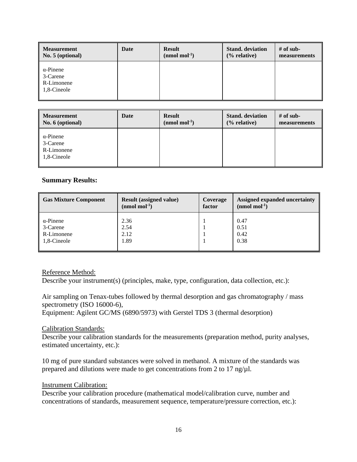| <b>Measurement</b>                                        | Date | <b>Result</b>  | <b>Stand.</b> deviation | $#$ of sub-  |
|-----------------------------------------------------------|------|----------------|-------------------------|--------------|
| No. 5 (optional)                                          |      | $(nmol mol-1)$ | $(\%$ relative)         | measurements |
| $\alpha$ -Pinene<br>3-Carene<br>R-Limonene<br>1,8-Cineole |      |                |                         |              |

| Measurement                                                           | Date | <b>Result</b>  | <b>Stand.</b> deviation | $#$ of sub-  |
|-----------------------------------------------------------------------|------|----------------|-------------------------|--------------|
| $\vert$ No. 6 (optional)                                              |      | $(nmol mol-1)$ | $%$ relative)           | measurements |
| $\alpha$ -Pinene<br>$\parallel$ 3-Carene<br>R-Limonene<br>1,8-Cineole |      |                |                         |              |

## **Summary Results:**

| <b>Gas Mixture Component</b> | <b>Result (assigned value)</b> | Coverage | Assigned expanded uncertainty |
|------------------------------|--------------------------------|----------|-------------------------------|
|                              | $(mmol \text{ mol}^{-1})$      | factor   | $(nmol mol-1)$                |
| $\alpha$ -Pinene             | 2.36                           |          | 0.47                          |
| $\parallel$ 3-Carene         | 2.54                           |          | 0.51                          |
| R-Limonene                   | 2.12                           |          | 0.42                          |
| 1,8-Cineole                  | 1.89                           |          | 0.38                          |

### Reference Method:

Describe your instrument(s) (principles, make, type, configuration, data collection, etc.):

Air sampling on Tenax-tubes followed by thermal desorption and gas chromatography / mass spectrometry (ISO 16000-6),

Equipment: Agilent GC/MS (6890/5973) with Gerstel TDS 3 (thermal desorption)

### Calibration Standards:

Describe your calibration standards for the measurements (preparation method, purity analyses, estimated uncertainty, etc.):

10 mg of pure standard substances were solved in methanol. A mixture of the standards was prepared and dilutions were made to get concentrations from 2 to 17 ng/µl.

### Instrument Calibration:

Describe your calibration procedure (mathematical model/calibration curve, number and concentrations of standards, measurement sequence, temperature/pressure correction, etc.):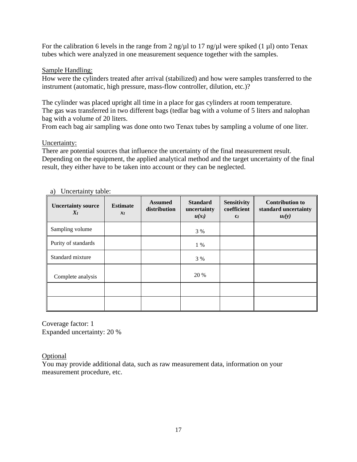For the calibration 6 levels in the range from 2 ng/ $\mu$ l to 17 ng/ $\mu$ l were spiked (1  $\mu$ l) onto Tenax tubes which were analyzed in one measurement sequence together with the samples.

# Sample Handling:

How were the cylinders treated after arrival (stabilized) and how were samples transferred to the instrument (automatic, high pressure, mass-flow controller, dilution, etc.)?

The cylinder was placed upright all time in a place for gas cylinders at room temperature. The gas was transferred in two different bags (tedlar bag with a volume of 5 liters and nalophan bag with a volume of 20 liters.

From each bag air sampling was done onto two Tenax tubes by sampling a volume of one liter.

# Uncertainty:

There are potential sources that influence the uncertainty of the final measurement result. Depending on the equipment, the applied analytical method and the target uncertainty of the final result, they either have to be taken into account or they can be neglected.

| <b>Uncertainty source</b><br>$X_I$ | <b>Estimate</b><br>$x_I$ | <b>Assumed</b><br>distribution | <b>Standard</b><br>uncertainty<br>$u(x_i)$ | <b>Sensitivity</b><br>coefficient<br>$C_I$ | <b>Contribution to</b><br>standard uncertainty<br>$u_I(y)$ |
|------------------------------------|--------------------------|--------------------------------|--------------------------------------------|--------------------------------------------|------------------------------------------------------------|
| Sampling volume                    |                          |                                | 3 %                                        |                                            |                                                            |
| Purity of standards                |                          |                                | $1\%$                                      |                                            |                                                            |
| Standard mixture                   |                          |                                | 3 %                                        |                                            |                                                            |
| Complete analysis                  |                          |                                | 20 %                                       |                                            |                                                            |
|                                    |                          |                                |                                            |                                            |                                                            |
|                                    |                          |                                |                                            |                                            |                                                            |

a) Uncertainty table:

Coverage factor: 1 Expanded uncertainty: 20 %

# Optional

You may provide additional data, such as raw measurement data, information on your measurement procedure, etc.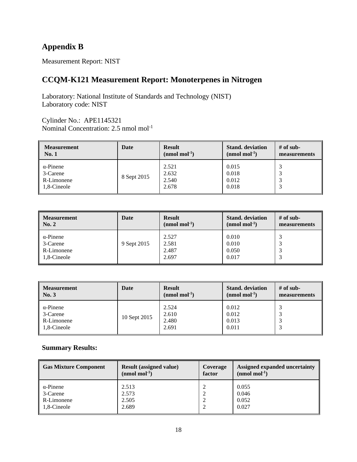# **Appendix B**

Measurement Report: NIST

# **CCQM-K121 Measurement Report: Monoterpenes in Nitrogen**

Laboratory: National Institute of Standards and Technology (NIST) Laboratory code: NIST

Cylinder No.: APE1145321 Nominal Concentration: 2.5 nmol mol<sup>-1</sup>

| <b>Measurement</b>                                        | Date        | <b>Result</b>                    | <b>Stand.</b> deviation          | # of sub-    |
|-----------------------------------------------------------|-------------|----------------------------------|----------------------------------|--------------|
| No.1                                                      |             | $(mmol \text{ mol}^{-1})$        | $(nmol mol-1)$                   | measurements |
| $\alpha$ -Pinene<br>3-Carene<br>R-Limonene<br>1.8-Cineole | 8 Sept 2015 | 2.521<br>2.632<br>2.540<br>2.678 | 0.015<br>0.018<br>0.012<br>0.018 |              |

| <b>Measurement</b>                                        | Date        | <b>Result</b>                    | <b>Stand.</b> deviation          | $#$ of sub-  |
|-----------------------------------------------------------|-------------|----------------------------------|----------------------------------|--------------|
| No. 2                                                     |             | $(nmol mol-1)$                   | $(nmol mol-1)$                   | measurements |
| $\alpha$ -Pinene<br>3-Carene<br>R-Limonene<br>1,8-Cineole | 9 Sept 2015 | 2.527<br>2.581<br>2.487<br>2.697 | 0.010<br>0.010<br>0.050<br>0.017 |              |

| <b>Measurement</b>                                        | Date         | <b>Result</b>                    | <b>Stand.</b> deviation          | $#$ of sub-  |
|-----------------------------------------------------------|--------------|----------------------------------|----------------------------------|--------------|
| No. 3                                                     |              | $(nmol \text{ mol}^{-1})$        | $(nmol mol-1)$                   | measurements |
| $\alpha$ -Pinene<br>3-Carene<br>R-Limonene<br>1,8-Cineole | 10 Sept 2015 | 2.524<br>2.610<br>2.480<br>2.691 | 0.012<br>0.012<br>0.013<br>0.011 |              |

# **Summary Results:**

| <b>Gas Mixture Component</b> | <b>Result (assigned value)</b><br>$(mmol \text{ mol}^{-1})$ | Coverage<br>factor | Assigned expanded uncertainty<br>$(nmol mol-1)$ |
|------------------------------|-------------------------------------------------------------|--------------------|-------------------------------------------------|
| $\alpha$ -Pinene             | 2.513                                                       |                    | 0.055                                           |
|                              |                                                             |                    |                                                 |
| 3-Carene                     | 2.573                                                       |                    | 0.046                                           |
| R-Limonene                   | 2.505                                                       |                    | 0.052                                           |
| 1,8-Cineole                  | 2.689                                                       |                    | 0.027                                           |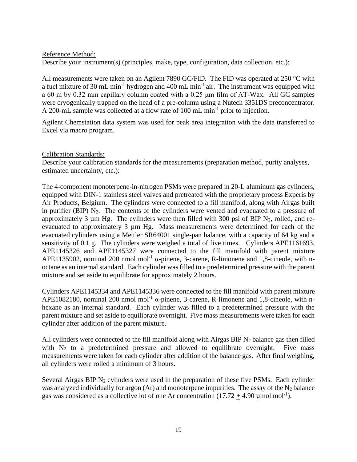## Reference Method:

Describe your instrument(s) (principles, make, type, configuration, data collection, etc.):

All measurements were taken on an Agilent 7890 GC/FID. The FID was operated at 250 °C with a fuel mixture of 30 mL min<sup>-1</sup> hydrogen and 400 mL min<sup>-1</sup> air. The instrument was equipped with a 60 m by 0.32 mm capillary column coated with a 0.25 μm film of AT-Wax. All GC samples were cryogenically trapped on the head of a pre-column using a Nutech 3351DS preconcentrator. A 200-mL sample was collected at a flow rate of 100 mL min<sup>-1</sup> prior to injection.

Agilent Chemstation data system was used for peak area integration with the data transferred to Excel via macro program.

### Calibration Standards:

Describe your calibration standards for the measurements (preparation method, purity analyses, estimated uncertainty, etc.):

The 4-component monoterpene-in-nitrogen PSMs were prepared in 20-L aluminum gas cylinders, equipped with DIN-1 stainless steel valves and pretreated with the proprietary process Experis by Air Products, Belgium. The cylinders were connected to a fill manifold, along with Airgas built in purifier (BIP)  $N_2$ . The contents of the cylinders were vented and evacuated to a pressure of approximately 3  $\mu$ m Hg. The cylinders were then filled with 300 psi of BIP N<sub>2</sub>, rolled, and reevacuated to approximately 3 µm Hg. Mass measurements were determined for each of the evacuated cylinders using a Mettler SR64001 single-pan balance, with a capacity of 64 kg and a sensitivity of 0.1 g. The cylinders were weighed a total of five times. Cylinders APE1161693, APE1145326 and APE1145327 were connected to the fill manifold with parent mixture APE1135902, nominal 200 nmol mol<sup>-1</sup>  $\alpha$ -pinene, 3-carene, R-limonene and 1,8-cineole, with noctane as an internal standard. Each cylinder was filled to a predetermined pressure with the parent mixture and set aside to equilibrate for approximately 2 hours.

Cylinders APE1145334 and APE1145336 were connected to the fill manifold with parent mixture APE1082180, nominal 200 nmol mol<sup>-1</sup>  $\alpha$ -pinene, 3-carene, R-limonene and 1,8-cineole, with nhexane as an internal standard. Each cylinder was filled to a predetermined pressure with the parent mixture and set aside to equilibrate overnight. Five mass measurements were taken for each cylinder after addition of the parent mixture.

All cylinders were connected to the fill manifold along with Airgas BIP  $N_2$  balance gas then filled with  $N_2$  to a predetermined pressure and allowed to equilibrate overnight. Five mass measurements were taken for each cylinder after addition of the balance gas. After final weighing, all cylinders were rolled a minimum of 3 hours.

Several Airgas BIP  $N_2$  cylinders were used in the preparation of these five PSMs. Each cylinder was analyzed individually for argon  $(Ar)$  and monoterpene impurities. The assay of the N<sub>2</sub> balance gas was considered as a collective lot of one Ar concentration  $(17.72 \pm 4.90 \,\text{\mu mol mol}^{-1})$ .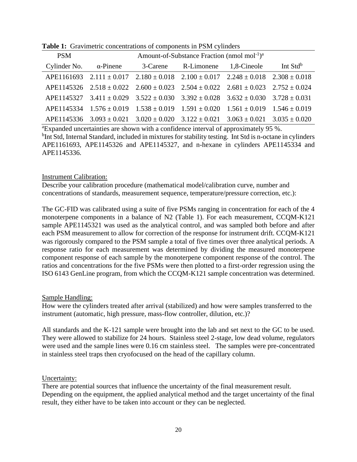| <b>PSM</b>                    | Amount-of-Substance Fraction (nmol mol <sup>-1</sup> ) <sup>a</sup> |                                                |                                                                                                      |                                                       |                      |  |
|-------------------------------|---------------------------------------------------------------------|------------------------------------------------|------------------------------------------------------------------------------------------------------|-------------------------------------------------------|----------------------|--|
| Cylinder No. $\alpha$ -Pinene |                                                                     | 3-Carene                                       | R-Limonene                                                                                           | 1,8-Cineole                                           | Int Std <sup>b</sup> |  |
|                               |                                                                     |                                                | APE1161693 2.111 $\pm$ 0.017 2.180 $\pm$ 0.018 2.100 $\pm$ 0.017 2.248 $\pm$ 0.018 2.308 $\pm$ 0.018 |                                                       |                      |  |
|                               |                                                                     |                                                | APE1145326 $2.518 \pm 0.022$ $2.600 \pm 0.023$ $2.504 \pm 0.022$ $2.681 \pm 0.023$ $2.752 \pm 0.024$ |                                                       |                      |  |
|                               |                                                                     |                                                | APE1145327 3.411 ± 0.029 3.522 ± 0.030 3.392 ± 0.028 3.632 ± 0.030 3.728 ± 0.031                     |                                                       |                      |  |
|                               |                                                                     |                                                | APE1145334 $1.576 \pm 0.019$ $1.538 \pm 0.019$ $1.591 \pm 0.020$ $1.561 \pm 0.019$ $1.546 \pm 0.019$ |                                                       |                      |  |
|                               |                                                                     | APE1145336 $3.093 \pm 0.021$ $3.020 \pm 0.020$ |                                                                                                      | $3.122 \pm 0.021$ $3.063 \pm 0.021$ $3.035 \pm 0.020$ |                      |  |

**Table 1:** Gravimetric concentrations of components in PSM cylinders

<sup>a</sup>Expanded uncertainties are shown with a confidence interval of approximately 95 %.

<sup>b</sup>Int Std, Internal Standard, included in mixtures for stability testing. Int Std is n-octane in cylinders APE1161693, APE1145326 and APE1145327, and n-hexane in cylinders APE1145334 and APE1145336.

### Instrument Calibration:

Describe your calibration procedure (mathematical model/calibration curve, number and concentrations of standards, measurement sequence, temperature/pressure correction, etc.):

The GC-FID was calibrated using a suite of five PSMs ranging in concentration for each of the 4 monoterpene components in a balance of N2 (Table 1). For each measurement, CCQM-K121 sample APE1145321 was used as the analytical control, and was sampled both before and after each PSM measurement to allow for correction of the response for instrument drift. CCQM-K121 was rigorously compared to the PSM sample a total of five times over three analytical periods. A response ratio for each measurement was determined by dividing the measured monoterpene component response of each sample by the monoterpene component response of the control. The ratios and concentrations for the five PSMs were then plotted to a first-order regression using the ISO 6143 GenLine program, from which the CCQM-K121 sample concentration was determined.

### Sample Handling:

How were the cylinders treated after arrival (stabilized) and how were samples transferred to the instrument (automatic, high pressure, mass-flow controller, dilution, etc.)?

All standards and the K-121 sample were brought into the lab and set next to the GC to be used. They were allowed to stabilize for 24 hours. Stainless steel 2-stage, low dead volume, regulators were used and the sample lines were 0.16 cm stainless steel. The samples were pre-concentrated in stainless steel traps then cryofocused on the head of the capillary column.

## Uncertainty:

There are potential sources that influence the uncertainty of the final measurement result. Depending on the equipment, the applied analytical method and the target uncertainty of the final result, they either have to be taken into account or they can be neglected.